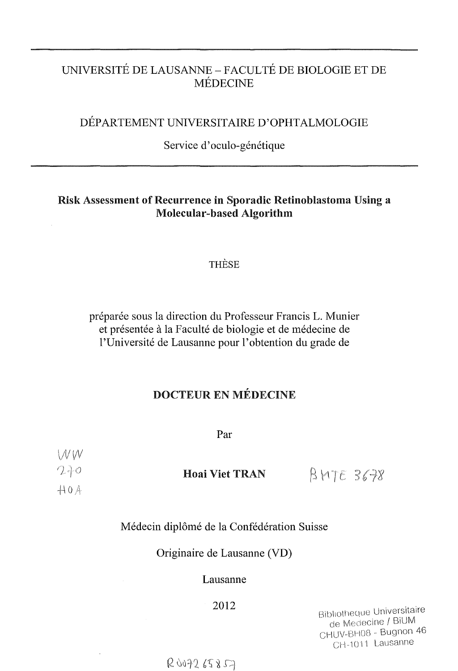# UNIVERSITÉ DE LAUSANNE - FACULTÉ DE BIOLOGIE ET DE MÉDECINE

# DÉPARTEMENT UNIVERSITAIRE D'OPHTALMOLOGIE

## Service d' oculo-génétique

# Risk Assessment of Recurrence in Sporadic Retinoblastoma Using a Molecular-based Algorithm

## THÈSE

préparée sous la direction du Professeur Francis L. Munier et présentée à la Faculté de biologie et de médecine de l'Université de Lausanne pour l'obtention du grade de

# DOCTEUR EN MÉDECINE

Par

| W W     |                       |           |
|---------|-----------------------|-----------|
| $2 + 0$ | <b>Hoai Viet TRAN</b> | BMTE 3678 |
| AOA     |                       |           |

## Médecin diplômé de la Confédération Suisse

Originaire de Lausanne (VD)

### Lausanne

# <sup>2012</sup><sup>f</sup>

Bibliotheque Universitaire de Medecine / BiUM CHUV-BH08 - Bugnon 46 CH-1011 Lausanne

 $R007265857$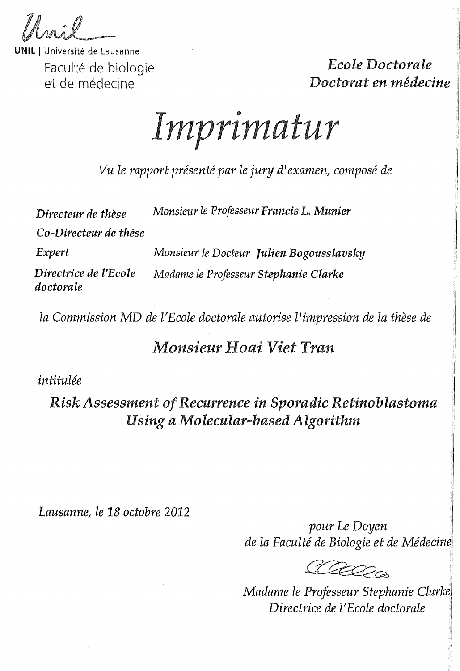Université de Lausanne Faculté de biologie et de médecine

*Ecole Doctorale Doctorat en médecine* 

# **Imprimatur**

*Vu le rapport présenté par le jury d'examen, composé de* 

| Directeur de thèse                 | Monsieur le Professeur Francis L. Munier |  |
|------------------------------------|------------------------------------------|--|
| Co-Directeur de thèse              |                                          |  |
| Expert                             | Monsieur le Docteur Julien Bogousslavsky |  |
| Directrice de l'Ecole<br>doctorale | Madame le Professeur Stephanie Clarke    |  |

*la Commission* MD *de l'Ecole doctorale autorise l'impression de la thèse de* 

# *Monsieur Hoai Viet Tran*

*intitulée* 

# *Risle Assessment of Recurrence in Sporadic Retinoblastoma Using a Molecular-based Algorithm*

*Lausanne, le 18 octobre 2012* 

*pour Le Doyen de la Faculté de Biologie et de Médecine* 

Cleapen

*Madanie le Professeur Stephanie Clarke, Directrice de l'Ecole doctorale*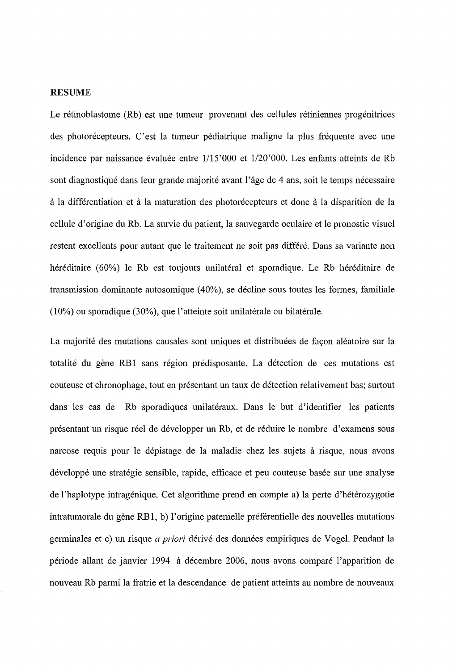#### RESUME

Le rétinoblastome (Rb) est une tumeur provenant des cellules rétiniennes progénitrices des photorécepteurs. C'est la tumeur pédiatrique maligne la plus fréquente avec une incidence par naissance évaluée entre 1/15'000 et 1/20'000. Les enfants atteints de Rb sont diagnostiqué dans leur grande majorité avant l'âge de 4 ans, soit le temps nécessaire à la différentiation et à la maturation des photorécepteurs et donc à la disparition de la cellule d'origine du Rb. La survie du patient, la sauvegarde oculaire et le pronostic visuel restent excellents pour autant que le traitement ne soit pas différé. Dans sa variante non héréditaire (60%) le Rb est toujours unilatéral et sporadique. Le Rb héréditaire de transmission dominante autosomique (40%), se décline sous toutes les formes, familiale (10%) ou sporadique (30%), que l'atteinte soit unilatérale ou bilatérale.

La majorité des mutations causales sont uniques et distribuées de façon aléatoire sur la totalité du gène RB1 sans région prédisposante. La détection de ces mutations est couteuse et chronophage, tout en présentant un taux de détection relativement bas; surtout dans les cas de Rb sporadiques unilatéraux. Dans le but d'identifier les patients présentant un risque réel de développer un Rb, et de réduire le nombre d'examens sous narcose requis pour le dépistage de la maladie chez les sujets à risque, nous avons développé une stratégie sensible, rapide, efficace et peu couteuse basée sur une analyse de l'haplotype intragénique. Cet algorithme prend en compte a) la perte d'hétérozygotie intratumorale du gène RBl, b) l'origine paternelle préférentielle des nouvelles mutations germinales et c) un risque *a priori* dérivé des données empiriques de Vogel. Pendant la période allant de janvier 1994 à décembre 2006, nous avons comparé l'apparition de nouveau Rb parmi la fratrie et la descendance de patient atteints au nombre de nouveaux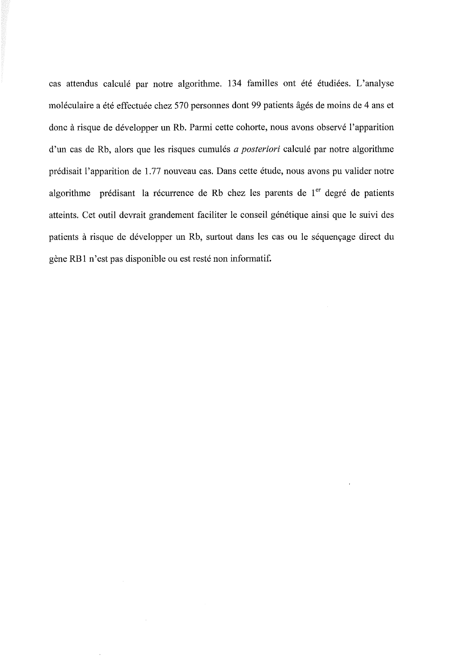cas attendus calculé par notre algorithme. 134 familles ont été étudiées. L'analyse moléculaire a été effectuée chez 570 personnes dont 99 patients âgés de moins de 4 ans et donc à risque de développer un Rb. Parmi cette cohorte, nous avons observé l'apparition d'un cas de Rb, alors que les risques cumulés *a posteriori* calculé par notre algorithme prédisait l'apparition de 1.77 nouveau cas. Dans cette étude, nous avons pu valider notre algorithme prédisant la récurrence de Rb chez les parents de  $1<sup>er</sup>$  degré de patients atteints. Cet outil devrait grandement faciliter le conseil génétique ainsi que le suivi des patients à risque de développer un Rb, surtout dans les cas ou le séquençage direct du gène RBl n'est pas disponible ou est resté non informatif.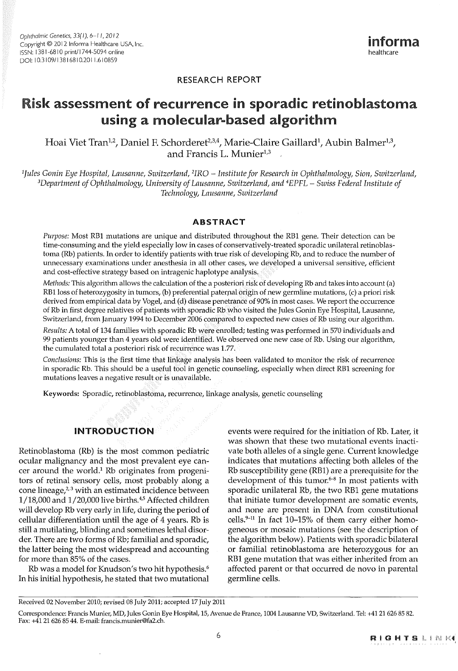#### RESEARCH REPORT

# Risk assessment of recurrence in sporadic retinoblastoma using a molecular-based algorithm

Hoai Viet Tran<sup>1,2</sup>, Daniel F. Schorderet<sup>2,3,4</sup>, Marie-Claire Gaillard<sup>1</sup>, Aubin Balmer<sup>1,3</sup>, and Francis L. Munier<sup>1,3</sup>

*1 fules Canin Eye Hospital, Lausanne, Switzerland, 2 IRO* - *Institute for Research in Ophthalmology, Sion, Switzerland, 3 Department of Ophthalmologi;, University of Lausanne, Switzerland, and 4EPFL* - *Swiss Federal Institute of Technology, Lausanne, Switzerland* 

#### ABSTRACT

*Purpose:* Most RBl mutations are unique and distributed throughout the RBl gene. Their detection can be time-consuming and the yield especially low in cases of conservatively-treated sporadic unilateral retinoblastoma (Rb) patients. In order to identify patients with true risk of developing Rb, and to reduce the number of unnecessary examinations under anesthesia in all other cases, we developed a universal sensitive, efficient and cost-effective strategy based on intragenic haplotype analysis.

*Methods:* This algorithm allows the calculation of the a posteriori risk of developing Rb and takes into account (a) RB1 loss of heterozygosity in tumors, (b) preferential paternal origin of new germline mutations, (c) a priori risk derived from empirical data by Vogel, and (d) disease penetrance of 90% in most cases. We report the occurrence of Rb in first degree relatives of patients with sporadic Rb who visited the Jules Gonin Eye Hospital, Lausanne, Switzerland, from January 1994 to December 2006 compared to expected new cases of Rb using our algorithm.

*Results:* A total of 134 families with sporadic Rb were enrolled; testing was performed in 570 individuals and 99 patients younger than 4 years old were identified, We observed one new case of Rb, Using our algorithm, the cumulated total a posteriori risk of recurrence was 1.77.

*Conclusions:* This is the first time that linkage analysis has been validated to monitor the risk of recurrence in sporadic Rb. This should be a useful tool in genetic counseling, especially when direct RBl screening for mutations leaves a negative result or is unavailable.

Keywords: Sporadic, retinoblastoma, recurrence, linkage analysis, genetic counseling

#### **INTRODUCTION**

Retinoblastoma (Rb) is the most common pediatric ocular malignancy and the most prevalent eye cancer around the world.<sup>1</sup> Rb originates from progenitors of retinal sensory cells, most probably along a cone lineage, $2,3$  with an estimated incidence between 1/18,000 and 1/20,000 live births. <sup>4</sup> , 5 Affected children will develop Rb very early in life, during the period of cellular differentiation until the age of 4 years. Rb is still a mutilating, blinding and sometimes lethal disorder. There are two forms of Rb; familial and sporadic, the latter being the most widespread and accounting for more than 85% of the cases.

Rb was a model for Knudson's two hit hypothesis.<sup>6</sup> In his initial hypothesis, he stated that two mutational

events were required for the initiation of Rb. Later, it was shown that these two mutational events inactivate both alleles of a single gene. Current knowledge indicates that mutations affecting both alleles of the Rb susceptibility gene (RBl) are a prerequisite for the development of this tumor. $6-8$  In most patients with sporadic unilateral Rb, the two RBl gene mutations that initiate tumor development are somatic events, and none are present in DNA from constitutional cells. $9-11$  In fact 10–15% of them carry either homogeneous or mosaic mutations (see the description of the algorithm below). Patients with sporadic bilateral or familial retinoblastoma are heterozygous for an RBl gene mutation that was either inherited from an affected parent or that occurred de novo in parental germline cells.

Received 02 November 2010; revised 08 July 2011; accepted 17 July 2011

Correspondence: Francis Munier, MD, Jules Gonin Eye Hospital, 15, Avenue de France, 1004 Lausanne VD, Switzerland. Tel: +4121626 85 82. Fax: +41 21 626 85 44. E-mail: francis.munier@fa2.ch.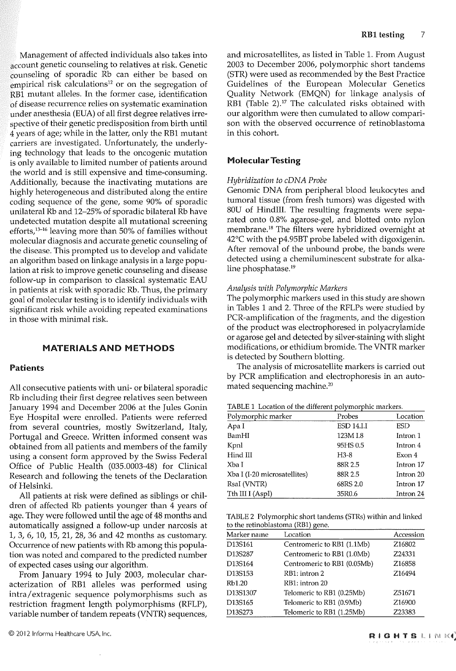Management of affected individuals also takes into  $\frac{1}{2}$  account genetic counseling to relatives at risk. Genetic counseling of sporadic Rb can either be based on empirical risk calculations<sup>12</sup> or on the segregation of RBl mutant alleles. In the former case, identification of disease recurrence relies on systematic examination under anesthesia (EUA) of all first degree relatives irrespective of their genetic predisposition from birth until 4 years of age; while in the latter, only the RBl mutant carriers are investigated. Unfortunately, the underlying technology that leads to the oncogenic mutation is only available to limited number of patients around the world and is still expensive and time-consuming. Additionally, because the inactivating mutations are highly heterogeneous and distributed along the entire coding sequence of the gene, some 90% of sporadic unilateral Rb and 12-25% of sporadic bilateral Rb have undetected mutation despite all mutational screening efforts,1 3-16 leaving more than 50% of families without molecular diagnosis and accurate genetic counseling of the disease. This prompted us to develop and validate an algorithm based on linkage analysis in a large population at risk to improve genetic counseling and disease follow-up in comparison to classical systematic EAU in patients at risk with sporadic Rb. Thus, the primary goal of molecular testing is to identify individuals with significant risk while avoiding repeated examinations in those with minimal risk.

#### MATERIAlS AND METHODS

#### Patients

All consecutive patients with uni- or bilateral sporadic Rb including their first degree relatives seen between January 1994 and December 2006 at the Jules Gonin Eye Hospital were enrolled. Patients were referred from several countries, mostly Switzerland, Italy, Portugal and Greece. Written informed consent was obtained from all patients and members of the family using a consent form approved by the Swiss Federal Office of Public Health (035.0003-48) for Clinical Research and following the tenets of the Declaration of Helsinki.

All patients at risk were defined as siblings or children of affected Rb patients younger than 4 years of age. They were followed until the age of 48 months and automatically assigned a follow-up under narcosis at 1, 3, 6, 10, 15, 21, 28, 36 and 42 months as customary. Occurrence of new patients with Rb among this population was noted and compared to the predicted number of expected cases using our algorithm.

From January 1994 to July 2003, molecular characterization of RBl alleles was performed using intra/ extragenic sequence polymorphisms such as restriction fragment length polymorphisms (RFLP), variable number of tandem repeats (VNTR) sequences, and microsatellites, as listed in Table 1. From August 2003 to December 2006, polymorphie short tandems (STR) were used as recommended by the Best Practice Guidelines of the European Molecular Genetics Quality Network (EMQN) for linkage analysis of RB1 (Table 2).<sup>17</sup> The calculated risks obtained with our algorithm were then cumulated to allow comparison with the observed occurrence of retinoblastoma in this cohort.

#### MolecularTesting

#### *Hybridization to cDNA Probe*

Genomic DNA from peripheral blood leukocytes and tumoral tissue (from fresh tumors) was digested with SOU of HindIII. The resulting fragments were separated onto 0.8% agarose-gel, and blotted onto nylon membrane. 18 The filters were hybridized overnight at 42°C with the p4.95BT probe labeled with digoxigenin. After removal of the unbound probe, the bands were detected using a chemiluminescent substrate for alkaline phosphatase.<sup>19</sup>

#### *Analysis with Polymorphie Markers*

The polymorphie markers used in this study are shown in Tables 1 and 2. Three of the RFLPs were studied by PCR-amplification of the fragments, and the digestion of the product was electrophoresed in polyacrylamide or agarose gel and detected by silver-staining with slight modifications, or ethidium bromide. The VNTR marker is detected by Southern blotting.

The analysis of microsatellite markers is carried out by PCR amplification and electrophoresis in an automated sequencing machine.<sup>20</sup>

TABLE 1 Location of the different polymorphie markers.

| Polymorphic marker           | Probes            | Location  |
|------------------------------|-------------------|-----------|
| Apa I                        | <b>ESD 14.I.I</b> | ESD       |
| BamHI                        | 123M I.8          | Intron 1  |
| Kpnl                         | 95HS 0.5          | Intron 4  |
| Hind III                     | $H3-8$            | Exon 4    |
| Xba I                        | 88R 2.5           | Intron 17 |
| Xba I (I-20 microsatellites) | 88R 2.5           | Intron 20 |
| RsaI (VNTR)                  | 68RS 2.0          | Intron 17 |
| Tth III I (AspI)             | 35R0.6            | Intron 24 |

TABLE 2 Polymorphie short tandems (5TRs) within and linked to the retinoblastoma (RBl) gene.

| Marker name | Location                    |                    |
|-------------|-----------------------------|--------------------|
| D13S161     | Centromeric to RB1 (1.1Mb)  | Z16802             |
| D13S287     | Centromeric to RB1 (1.0Mb)  | Z24331             |
| D13S164     | Centromeric to RB1 (0.05Mb) | Z16858             |
| D13S153     | RB1: intron 2               | Z16494             |
| Rb1.20      | RB1: intron 20              |                    |
| D13S1307    | Telomeric to RB1 (0.25Mb)   | Z51671             |
| D13S165     | Telomeric to RB1 (0.9Mb)    | Z <sub>16900</sub> |
| D13S273     | Telomeric to RB1 (1.25Mb)   | Z23383             |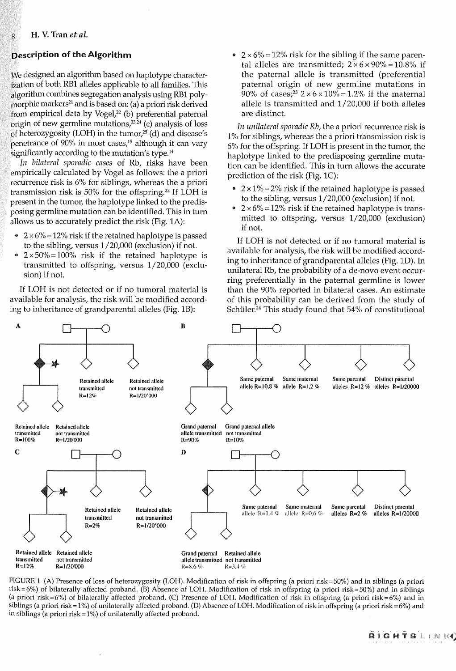#### **Description of the Algorithm**

We designed an algorithm based on haplotype characterization of both RBl alleles applicable to all familles. This algorithm combines segregation analysis using RBl polymorphic markers<sup>21</sup> and is based on: (a) a priori risk derived from empirical data by Vogel, $22$  (b) preferential paternal  $\delta$ rigin of new germline mutations, $^{23,24}$  (c) analysis of loss of heterozygosity (LOH) in the tumor,25 (d) and disease's penetrance of 90% in most cases,<sup>15</sup> although it can vary  $\frac{1}{3}$ ignificantly according to the mutation's type.<sup>14</sup>

*In bilateral sporadic cases* of Rb, risks have been empirically calculated by Vogel as follows: the a priori recurrence risk is 6% for siblings, whereas the a priori transmission risk is 50% for the offspring. 22 If LOH is present in the tumor, the haplotype linked to the predisposing germline mutation can be identified. This in tum allows us to accurately predict the risk (Fig. 1A):

- $2 \times 6\% = 12\%$  risk if the retained haplotype is passed to the sibling, versus 1/20,000 (exclusion) if not.
- $2 \times 50\% = 100\%$  risk if the retained haplotype is transmitted to offspring, versus 1/20,000 (exclusion) if not.

If LOH is not detected or if no tumoral material is available for analysis, the risk will be modified according to inheritance of grandparental alleles (Fig. 1B):

•  $2 \times 6\% = 12\%$  risk for the sibling if the same parental alleles are transmitted;  $2 \times 6 \times 90\% = 10.8\%$  if the paternal allele is transmitted (preferential paternal origin of new germline mutations in 90% of cases;<sup>23</sup> 2×6×10%=1.2% if the maternal allele is transmitted and 1/20 ,000 if both alleles are distinct.

*In unilateral sporadic Rb,* the a priori recurrence risk is 1 % for siblings, whereas the a priori transmission risk is 6% for the offspring. If LOH is present in the tumor, the haplotype linked to the predisposing germline mutation can be identified. This in turn allows the accurate prediction of the risk (Fig. lC):

- $2 \times 1\% = 2\%$  risk if the retained haplotype is passed to the sibling, versus 1/20,000 (exclusion) if not.
- $2 \times 6\% = 12\%$  risk if the retained haplotype is transmitted to offspring, versus 1/20,000 (exclusion) if not.

If LOH is not detected or if no tumoral material is available for analysis, the risk will be modified according to inheritance of grandparental alleles (Fig. 10). In unilateral Rb, the probability of a de-novo event occurring preferentially in the paternal germline is lower than the 90% reported in bilateral cases. An estimate of this probability can be derived from the study of Schüler.<sup>24</sup> This study found that 54% of constitutional



FIGURE 1 (A) Presence of loss of heterozygosity (LOH). Modification of risk in offspring (a priori risk=50%) and in siblings (a priori risk=6%) of bilaterally affected proband. (B) Absence of LOH. Modification of risk in offspring (a priori risk=50%) and in siblings (a priori risk=6%) of bilaterally affected proband. (C) Presence of LOH. Modification of risk in offspring (a priori risk=6%) and in siblings (a priori risk = 1%) of unilaterally affected proband. (D) Absence of LOH. Modification of risk in offspring (a priori risk = 6%) and in siblings (a priori risk =  $1\%$ ) of unilaterally affected proband.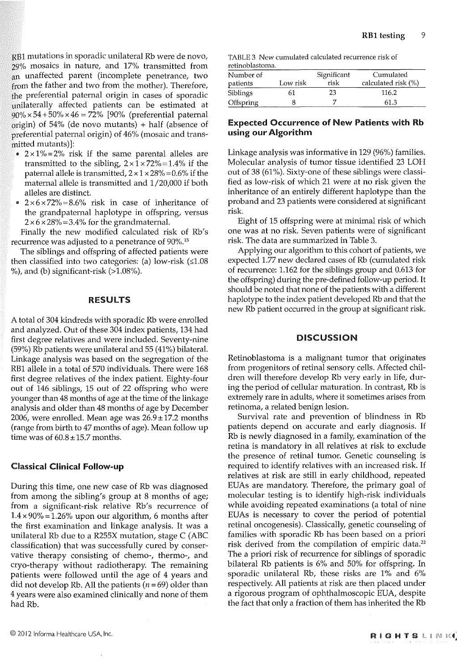RBl mutations in sporadic unilateral Rb were de nova, 29% mosaics in nature, and 17% transmitted from an unaffected parent (incomplete penetrance, two from the father and two from the mother). Therefore, the preferential paternal origin in cases of sporadic unilaterally affected patients can be estimated at  $90\% \times 54 + 50\% \times 46 = 72\%$  [90% (preferential paternal origin) of 54% (de nova mutants) + half (absence of preferential paternal origin) of 46% (mosaic and transmitted mutants)]:

- $2 \times 1\% = 2\%$  risk if the same parental alleles are transmitted to the sibling,  $2 \times 1 \times 72\% = 1.4\%$  if the paternal allele is transmitted,  $2 \times 1 \times 28\% = 0.6\%$  if the maternal allele is transmitted and 1/20,000 if bath alleles are distinct.
- $2 \times 6 \times 72\% = 8.6\%$  risk in case of inheritance of the grandpaternal haplotype in offspring, versus  $2 \times 6 \times 28\% = 3.4\%$  for the grandmaternal.

Finally the new modified calculated risk of Rb's recurrence was adjusted to a penetrance of 90%.15

The siblings and offspring of affected patients were then classified into two categories: (a) low-risk  $(≤1.08)$  $%$ ), and (b) significant-risk ( $>1.08%$ ).

#### RESULTS

A total of 304 kindreds with sporadic Rb were enrolled and analyzed. Out of these 304 index patients, 134 had first degree relatives and were included. Seventy-nine (59%) Rb patients were unilateral and 55 (41%) bilateral. Linkage analysis was based on the segregation of the RBl allele in a total of 570 individuals. There were 168 first degree relatives of the index patient. Eighty-four out of 146 siblings, 15 out of 22 offspring who were younger than 48 months of age at the time of the linkage analysis and older than 48 months of age by December 2006, were enrolled. Mean age was  $26.9 \pm 17.2$  months (range from birth to 47 months of age). Mean follow up time was of  $60.8 \pm 15.7$  months.

#### Classical **Clinical Follow-up**

During this time, one new case of Rb was diagnosed from among the sibling's group at 8 months of age; from a significant-risk relative Rb's recurrence of  $1.4 \times 90\% = 1.26\%$  upon our algorithm, 6 months after the first examination and linkage analysis. It was a unilateral Rb due to a R255X mutation, stage C (ABC classification) that was successfully cured by conservative therapy consisting of chemo-, thermo-, and cryo-therapy without radiotherapy. The remaining patients were followed until the age of 4 years and did not develop Rb. All the patients ( $n = 69$ ) older than 4 years were also examined clinically and none of them had Rb.

TABLE 3 New cumulated calculated recurrence risk of retinoblastoma.

| Number of<br>patients | Low risk | Significant<br>risk | Cumulated<br>calculated risk (%) |
|-----------------------|----------|---------------------|----------------------------------|
| Siblings              | 61       | 23                  | 116.2                            |
| Offspring             |          |                     | 61.3                             |

#### Expected Occurrence **of** New Patients **with** Rb **using our Algorithm**

Linkage analysis was informative in 129 (96%) families. Molecular analysis of tumor tissue identified 23 LOH out of 38 (61%). Sixty-one of these siblings were classified as low-risk of which 21 were at no risk given the inheritance of an entirely different haplotype than the proband and 23 patients were considered at significant risk.

Eight of 15 offspring were at minimal risk of which one was at no risk. Seven patients were of significant risk. The data are summarized in Table 3.

Applying our algorithm to this cohort of patients, we expected 1.77 new declared cases of Rb (cumulated risk of recurrence: 1.162 for the siblings group and 0.613 for the offspring) during the pre-defined follow-up period. It should be noted that none of the patients with a different haplotype to the index patient developed Rb and that the new Rb patient occurred in the group at significant risk.

#### **DISCUSSION**

Retinoblastoma is a malignant tumor that originates from progenitors of retinal sensory cells. Affected children will therefore develop Rb very early in life, during the period of cellular maturation. In contrast, Rb is extremely rare in adults, where it sometimes arises from retinoma, a related benign lesion.

Survival rate and prevention of blindness in Rb patients depend on accurate and early diagnosis. If Rb is newly diagnosed in a family, examination of the retina is mandatory in all relatives at risk to exclude the presence of retinal tumor. Genetie counseling is required to identify relatives with an increased risk. If relatives at risk are still in early childhood, repeated EUAs are mandatory. Therefore, the primary goal of molecular testing is to identify high-risk individuals while avoiding repeated examinations (a total of nine EUAs is necessary to cover the period of potential retinal oncogenesis). Classically, genetic counseling of families with sporadic Rb has been based on a priori risk derived from the compilation of empiric data.<sup>22</sup> The a priori risk of recurrence for siblings of sporadic bilateral Rb patients is 6% and 50% for offspring. In sporadic unilateral Rb, these risks are  $1\%$  and  $6\%$ respectively. All patients at risk are then placed under a rigorous program of ophthalmoscopic EUA, despite the fact that only a fraction of them has inherited the Rb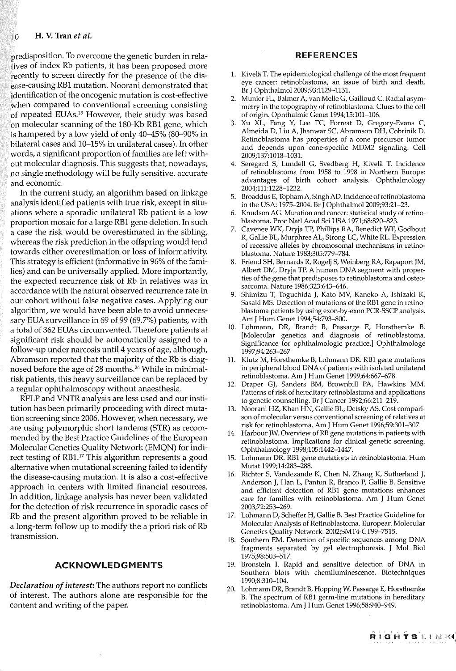predisposition. To overcome the genetic burden in relatives of index Rb patients, it has been proposed more recently to screen directly for the presence of the disease-causing RBl mutation. Noorani demonstrated that identification of the oncogenic mutation is cost-effective when compared to conventional screening consisting of repeated EUAs.13 However, their study was based on molecular scanning of the 180-Kb RBl gene, which is hampered by a low yield of only 40-45% (80-90% in bilateral cases and 10-15% in unilateral cases). In other words, a significant proportion of families are left without molecular diagnosis. This suggests that, nowadays, no single methodology will be fully sensitive, accurate and economic.

In the current study, an algorithm based on linkage analysis identified patients with true risk, except in situations where a sporadic unilateral Rb patient is a low proportion mosaic for a large RBl gene deletion. In such a case the risk would be overestimated in the sibling, whereas the risk prediction in the offspring would tend towards either overestimation or loss of informativity. This strategy is efficient (informative in 96% of the families) and can be universally applied. More importantly, the expected recurrence risk of Rb in relatives was in accordance with the natural observed recurrence rate in our cohort without false negative cases. Applying our algorithm, we would have been able to avoid unnecessary EUA surveillance in 69 of 99 (69.7%) patients, with a total of 362 EUAs circumvented. Therefore patients at significant risk should be automatically assigned to a follow-up under narcosis until 4 years of age, although, Abramson reported that the majority of the Rb is diagnosed before the age of 28 months. 26 While in minimalrisk patients, this heavy surveillance can be replaced by a regular ophthalmoscopy without anaesthesia.

RFLP and VNTR analysis are less used and our institution has been primarily proceeding with direct mutation screening since 2006. However, when necessary, we are using polymorphie short tandems (STR) as recommended by the Best Practice Guidelines of the European Molecular Genetics Quality Network (EMQN) for indirect testing of RB1.<sup>17</sup> This algorithm represents a good alternative when mutational screening failed to identify the disease-causing mutation. It is also a cost-effective approach in centers with limited financial resources. In addition, linkage analysis has never been validated for the detection of risk recurrence in sporadic cases of Rb and the present algorithm proved to be reliable in a long-term follow up to modify the a priori risk of Rb transmission.

#### ACKNOWLEDGMENTS

*Declaration of interest:* The authors report no conflicts of interest. The authors alone are responsible for the content and writing of the paper.

#### REFERENCES

- 1. Kivela T. The epidemiological challenge of the most frequent eye cancer: retinoblastoma, an issue of birth and death. Br J Ophthalmol 2009;93:1129-1131.
- 2. Munier FL, Balmer A, van Melle G, Gailloud C. Radial asymmetry in the topography of retinoblastoma. Clues to the cell of origin. Ophthalmic Genet 1994;15:101-106.
- 3. Xu XL, Fang Y, Lee TC, Forrest D, Gregory-Evans C, Almeida D, Liu A, Jhanwar SC, Abramson DH, Cobrinik D. Retinoblastoma has properties of a cone precursor tumor and depends upon cone-specific MDM2 signaling. Cell 2009;137:1018-1031.
- 4. Seregard S, Lundell G, Svedberg H, Kivela T. Incidence of retinoblastoma from 1958 to 1998 in Northern Europe: advantages of birth cohort analysis. Ophthalmology 2004; 111: 1228-1232.
- 5. Broaddus E, TophamA, SinghAD. Incidence of retinoblastoma in the USA: 1975-2004. Br J Ophthalmol 2009;93:21-23.
- 6. Knudson AG. Mutation and cancer: statistical study of retinoblastoma. Proc Nat! Acad Sei USA 1971;68:820-823.
- 7. Cavenee WK, Dryja TP, Phillips RA, Benedict WF, Godbout R, Gallie BL, Murphree AL, Strong LC, White RL. Expression of recessive alleles by chromosomal mechanisms in retinoblastoma. Nature 1983;305:779-784.
- 8. Friend SH, Bernards R, Rogelj S, Weinberg RA, Rapaport JM, Albert DM, Dryja TP. A human DNA segment with properties of the gene that predisposes to retinoblastoma and osteosarcoma. Nature 1986;323:643-646.
- 9. Shimizu T, Toguchida J, Kato MV, Kaneko A, Ishizaki K, Sasaki MS. Detection of mutations of the RBl gene in retinoblastoma patients by using exon-by-exon PCR-SSCP analysis. Am J Hum Genet 1994;54:793-800.
- 10. Lohmann, DR, Brandt B, Passarge E, Horsthemke B. [Molecular genetics and diagnosis of retinoblastoma. Significance for ophthalmologic practice.] Ophthalmologe 1997;94:263-267
- 11. Klutz M, Horsthemke B, Lohmann DR. RBl gene mutations in peripheral blood DNA of patients with isolated unilateral retinoblastoma. Am J Hum Genet 1999;64:667-678.
- 12. Draper GJ, Sanders BM, Brownbill PA, Hawkins MM. Patterns of risk of hereditary retinoblastoma and applications to genetic counselling. Br J Cancer 1992;66:211-219.
- 13. Noorani HZ, Khan HN, Gallie BL, Detsky AS. Cost comparison of molecular versus conventional screening of relatives at risk for retinoblastoma. Am J Hum Genet 1996;59:301-307.
- 14. Harbour JW. Overview of RB gene mutations in patients with retinoblastoma. Implications for clinical genetic screening. Ophthalmology 1998;105:1442-1447.
- 15. Lohmann DR. RBl gene mutations in retinoblastoma. Hum Mutat 1999;14:283-288.
- 16. Richter S, Vandezande K, Chen N, Zhang K, Sutherland J, Anderson J, Han L, Panton R, Branco P, Gallie B. Sensitive and efficient detection of RBl gene mutations enhances care for families with retinoblastoma. Am J Hum Genet 2003;72:253-269.
- 17. Lohmann D, Scheffer H, Gallie B. Best Practice Guideline for Molecular Analysis of Retinoblastoma. European Molecular Genetics Quality Network. 2002;SMT4-CT99-7515.
- 18. Southern EM. Detection of specific sequences among DNA fragments separated by gel electrophoresis. J Mol Bio! 1975;98:503-517.
- 19. Bronstein I. Rapid and sensitive detection of DNA in Southern blots with chemiluminescence. Biotechniques 1990;8:310-104.
- 20. Lohmann DR, Brandt B, Hopping W, Passarge E, Horsthemke B. The spectrum of RBl germ-line mutations in hereditary retinoblastoma. Am J Hum Genet 1996;58:940-949.

'